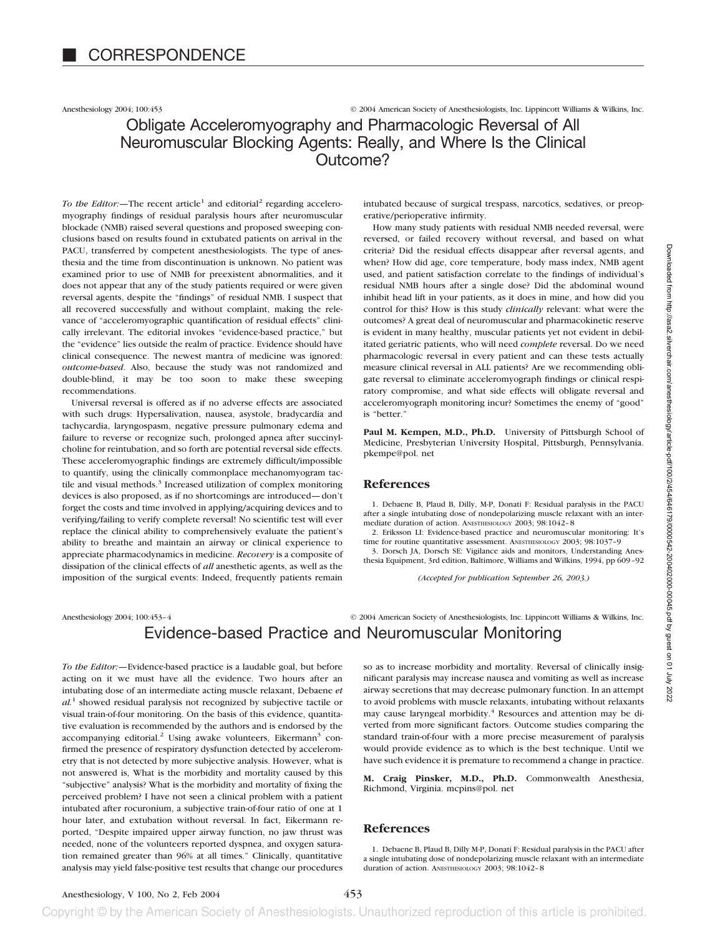Anesthesiology 2004; 100:453 © 2004 American Society of Anesthesiologists, Inc. Lippincott Williams & Wilkins, Inc.

# Obligate Acceleromyography and Pharmacologic Reversal of All Neuromuscular Blocking Agents: Really, and Where Is the Clinical Outcome?

*To the Editor:*—The recent article<sup>1</sup> and editorial<sup>2</sup> regarding acceleromyography findings of residual paralysis hours after neuromuscular blockade (NMB) raised several questions and proposed sweeping conclusions based on results found in extubated patients on arrival in the PACU, transferred by competent anesthesiologists. The type of anesthesia and the time from discontinuation is unknown. No patient was examined prior to use of NMB for preexistent abnormalities, and it does not appear that any of the study patients required or were given reversal agents, despite the "findings" of residual NMB. I suspect that all recovered successfully and without complaint, making the relevance of "acceleromyographic quantification of residual effects" clinically irrelevant. The editorial invokes "evidence-based practice," but the "evidence" lies outside the realm of practice. Evidence should have clinical consequence. The newest mantra of medicine was ignored: *outcome-based*. Also, because the study was not randomized and double-blind, it may be too soon to make these sweeping recommendations.

Universal reversal is offered as if no adverse effects are associated with such drugs: Hypersalivation, nausea, asystole, bradycardia and tachycardia, laryngospasm, negative pressure pulmonary edema and failure to reverse or recognize such, prolonged apnea after succinylcholine for reintubation, and so forth are potential reversal side effects. These acceleromyographic findings are extremely difficult/impossible to quantify, using the clinically commonplace mechanomyogram tactile and visual methods.<sup>3</sup> Increased utilization of complex monitoring devices is also proposed, as if no shortcomings are introduced—don't forget the costs and time involved in applying/acquiring devices and to verifying/failing to verify complete reversal! No scientific test will ever replace the clinical ability to comprehensively evaluate the patient's ability to breathe and maintain an airway or clinical experience to appreciate pharmacodynamics in medicine. *Recovery* is a composite of dissipation of the clinical effects of *all* anesthetic agents, as well as the imposition of the surgical events: Indeed, frequently patients remain

intubated because of surgical trespass, narcotics, sedatives, or preoperative/perioperative infirmity.

How many study patients with residual NMB needed reversal, were reversed, or failed recovery without reversal, and based on what criteria? Did the residual effects disappear after reversal agents, and when? How did age, core temperature, body mass index, NMB agent used, and patient satisfaction correlate to the findings of individual's residual NMB hours after a single dose? Did the abdominal wound inhibit head lift in your patients, as it does in mine, and how did you control for this? How is this study *clinically* relevant: what were the outcomes? A great deal of neuromuscular and pharmacokinetic reserve is evident in many healthy, muscular patients yet not evident in debilitated geriatric patients, who will need *complete* reversal. Do we need pharmacologic reversal in every patient and can these tests actually measure clinical reversal in ALL patients? Are we recommending obligate reversal to eliminate acceleromyograph findings or clinical respiratory compromise, and what side effects will obligate reversal and acceleromyograph monitoring incur? Sometimes the enemy of "good" is "better."

Paul M. Kempen, M.D., Ph.D. University of Pittsburgh School of Medicine, Presbyterian University Hospital, Pittsburgh, Pennsylvania. pkempe@pol. net

## **References**

1. Debaene B, Plaud B, Dilly, M-P, Donati F: Residual paralysis in the PACU after a single intubating dose of nondepolarizing muscle relaxant with an intermediate duration of action. ANESTHESIOLOGY 2003; 98:1042–8

2. Eriksson LI: Evidence-based practice and neuromuscular monitoring: It's time for routine quantitative assessment. ANESTHESIOLOGY 2003: 98:1037-9

3. Dorsch JA, Dorsch SE: Vigilance aids and monitors, Understanding Anesthesia Equipment, 3rd edition, Baltimore, Williams and Wilkins, 1994, pp 609–92

*(Accepted for publication September 26, 2003.)*

Anesthesiology 2004; 100:453–4 © 2004 American Society of Anesthesiologists, Inc. Lippincott Williams & Wilkins, Inc. Evidence-based Practice and Neuromuscular Monitoring

*To the Editor:—*Evidence-based practice is a laudable goal, but before acting on it we must have all the evidence. Two hours after an intubating dose of an intermediate acting muscle relaxant, Debaene *et al.*<sup>1</sup> showed residual paralysis not recognized by subjective tactile or visual train-of-four monitoring. On the basis of this evidence, quantitative evaluation is recommended by the authors and is endorsed by the accompanying editorial.<sup>2</sup> Using awake volunteers, Eikermann<sup>3</sup> confirmed the presence of respiratory dysfunction detected by accelerometry that is not detected by more subjective analysis. However, what is not answered is, What is the morbidity and mortality caused by this "subjective" analysis? What is the morbidity and mortality of fixing the perceived problem? I have not seen a clinical problem with a patient intubated after rocuronium, a subjective train-of-four ratio of one at 1 hour later, and extubation without reversal. In fact, Eikermann reported, "Despite impaired upper airway function, no jaw thrust was needed, none of the volunteers reported dyspnea, and oxygen saturation remained greater than 96% at all times." Clinically, quantitative analysis may yield false-positive test results that change our procedures

so as to increase morbidity and mortality. Reversal of clinically insignificant paralysis may increase nausea and vomiting as well as increase airway secretions that may decrease pulmonary function. In an attempt to avoid problems with muscle relaxants, intubating without relaxants may cause laryngeal morbidity.<sup>4</sup> Resources and attention may be diverted from more significant factors. Outcome studies comparing the standard train-of-four with a more precise measurement of paralysis would provide evidence as to which is the best technique. Until we have such evidence it is premature to recommend a change in practice.

**M. Craig Pinsker, M.D., Ph.D.** Commonwealth Anesthesia, Richmond, Virginia. mcpins@pol. net

## **References**

1. Debaene B, Plaud B, Dilly M-P, Donati F: Residual paralysis in the PACU after a single intubating dose of nondepolarizing muscle relaxant with an intermediate duration of action. ANESTHESIOLOGY 2003; 98:1042–8

Anesthesiology, V 100, No 2, Feb 2004 453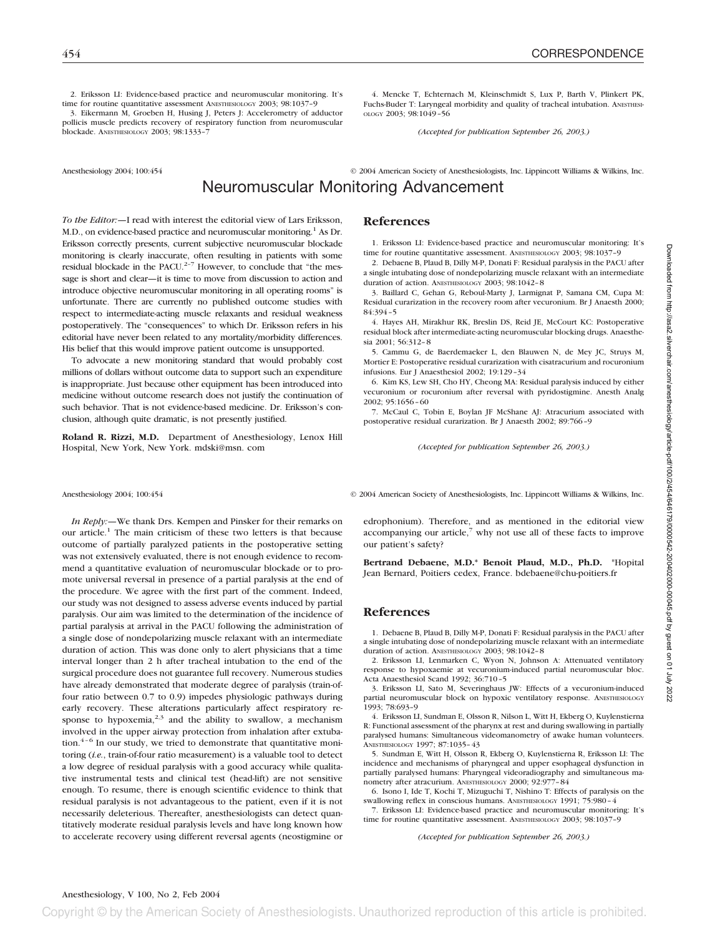2. Eriksson LI: Evidence-based practice and neuromuscular monitoring. It's time for routine quantitative assessment ANESTHESIOLOGY 2003; 98:1037–9

3. Eikermann M, Groeben H, Husing J, Peters J: Accelerometry of adductor pollicis muscle predicts recovery of respiratory function from neuromuscular blockade. ANESTHESIOLOGY 2003; 98:1333–7

4. Mencke T, Echternach M, Kleinschmidt S, Lux P, Barth V, Plinkert PK, Fuchs-Buder T: Laryngeal morbidity and quality of tracheal intubation. ANESTHESI-OLOGY 2003; 98:1049–56

*(Accepted for publication September 26, 2003.)*

Anesthesiology 2004; 100:454 **Canadiates** Canadiates and 2004 American Society of Anesthesiologists, Inc. Lippincott Williams & Wilkins, Inc.

# Neuromuscular Monitoring Advancement

*To the Editor:—*I read with interest the editorial view of Lars Eriksson, M.D., on evidence-based practice and neuromuscular monitoring.1 As Dr. Eriksson correctly presents, current subjective neuromuscular blockade monitoring is clearly inaccurate, often resulting in patients with some residual blockade in the PACU.<sup>2-7</sup> However, to conclude that "the message is short and clear—it is time to move from discussion to action and introduce objective neuromuscular monitoring in all operating rooms" is unfortunate. There are currently no published outcome studies with respect to intermediate-acting muscle relaxants and residual weakness postoperatively. The "consequences" to which Dr. Eriksson refers in his editorial have never been related to any mortality/morbidity differences. His belief that this would improve patient outcome is unsupported.

To advocate a new monitoring standard that would probably cost millions of dollars without outcome data to support such an expenditure is inappropriate. Just because other equipment has been introduced into medicine without outcome research does not justify the continuation of such behavior. That is not evidence-based medicine. Dr. Eriksson's conclusion, although quite dramatic, is not presently justified.

**Roland R. Rizzi, M.D.** Department of Anesthesiology, Lenox Hill Hospital, New York, New York. mdski@msn. com

*In Reply:—*We thank Drs. Kempen and Pinsker for their remarks on our article.<sup>1</sup> The main criticism of these two letters is that because outcome of partially paralyzed patients in the postoperative setting was not extensively evaluated, there is not enough evidence to recommend a quantitative evaluation of neuromuscular blockade or to promote universal reversal in presence of a partial paralysis at the end of the procedure. We agree with the first part of the comment. Indeed, our study was not designed to assess adverse events induced by partial paralysis. Our aim was limited to the determination of the incidence of partial paralysis at arrival in the PACU following the administration of a single dose of nondepolarizing muscle relaxant with an intermediate duration of action. This was done only to alert physicians that a time interval longer than 2 h after tracheal intubation to the end of the surgical procedure does not guarantee full recovery. Numerous studies have already demonstrated that moderate degree of paralysis (train-offour ratio between 0.7 to 0.9) impedes physiologic pathways during early recovery. These alterations particularly affect respiratory response to hypoxemia, $2,3$  and the ability to swallow, a mechanism involved in the upper airway protection from inhalation after extubation. $4-6$  In our study, we tried to demonstrate that quantitative monitoring (*i.e.*, train-of-four ratio measurement) is a valuable tool to detect a low degree of residual paralysis with a good accuracy while qualitative instrumental tests and clinical test (head-lift) are not sensitive enough. To resume, there is enough scientific evidence to think that residual paralysis is not advantageous to the patient, even if it is not necessarily deleterious. Thereafter, anesthesiologists can detect quantitatively moderate residual paralysis levels and have long known how to accelerate recovery using different reversal agents (neostigmine or

## **References**

1. Eriksson LI: Evidence-based practice and neuromuscular monitoring: It's time for routine quantitative assessment. ANESTHESIOLOGY 2003; 98:1037-9

2. Debaene B, Plaud B, Dilly M-P, Donati F: Residual paralysis in the PACU after a single intubating dose of nondepolarizing muscle relaxant with an intermediate duration of action. ANESTHESIOLOGY 2003; 98:1042–8

3. Baillard C, Gehan G, Reboul-Marty J, Larmignat P, Samana CM, Cupa M: Residual curarization in the recovery room after vecuronium. Br J Anaesth 2000; 84:394–5

4. Hayes AH, Mirakhur RK, Breslin DS, Reid JE, McCourt KC: Postoperative residual block after intermediate-acting neuromuscular blocking drugs. Anaesthesia 2001; 56:312–8

5. Cammu G, de Baerdemaeker L, den Blauwen N, de Mey JC, Struys M, Mortier E: Postoperative residual curarization with cisatracurium and rocuronium infusions. Eur J Anaesthesiol 2002; 19:129–34

6. Kim KS, Lew SH, Cho HY, Cheong MA: Residual paralysis induced by either vecuronium or rocuronium after reversal with pyridostigmine. Anesth Analg 2002; 95:1656–60

7. McCaul C, Tobin E, Boylan JF McShane AJ: Atracurium associated with postoperative residual curarization. Br J Anaesth 2002; 89:766–9

*(Accepted for publication September 26, 2003.)*

Anesthesiology 2004; 100:454 <sup>©</sup> 2004 American Society of Anesthesiologists, Inc. Lippincott Williams & Wilkins, Inc.

edrophonium). Therefore, and as mentioned in the editorial view accompanying our article, $7$  why not use all of these facts to improve our patient's safety?

**Bertrand Debaene, M.D.\* Benoit Plaud, M.D., Ph.D.** \*Hopital Jean Bernard, Poitiers cedex, France. bdebaene@chu-poitiers.fr

## **References**

1. Debaene B, Plaud B, Dilly M-P, Donati F: Residual paralysis in the PACU after a single intubating dose of nondepolarizing muscle relaxant with an intermediate duration of action. ANESTHESIOLOGY 2003; 98:1042–8

2. Eriksson LI, Lenmarken C, Wyon N, Johnson A: Attenuated ventilatory response to hypoxaemie at vecuronium-induced partial neuromuscular bloc. Acta Anaesthesiol Scand 1992; 36:710–5

3. Eriksson LI, Sato M, Severinghaus JW: Effects of a vecuronium-induced partial neuromuscular block on hypoxic ventilatory response. ANESTHESIOLOGY 1993; 78:693–9

4. Eriksson LI, Sundman E, Olsson R, Nilson L, Witt H, Ekberg O, Kuylenstierna R: Functional assessment of the pharynx at rest and during swallowing in partially paralysed humans: Simultaneous videomanometry of awake human volunteers. ANESTHESIOLOGY 1997; 87:1035–43

5. Sundman E, Witt H, Olsson R, Ekberg O, Kuylenstierna R, Eriksson LI: The incidence and mechanisms of pharyngeal and upper esophageal dysfunction in partially paralysed humans: Pharyngeal videoradiography and simultaneous manometry after atracurium. ANESTHESIOLOGY 2000; 92:977–84

6. Isono I, Ide T, Kochi T, Mizuguchi T, Nishino T: Effects of paralysis on the swallowing reflex in conscious humans. ANESTHESIOLOGY 1991: 75:980-4

7. Eriksson LI: Evidence-based practice and neuromuscular monitoring: It's time for routine quantitative assessment. ANESTHESIOLOGY 2003; 98:1037–9

*(Accepted for publication September 26, 2003.)*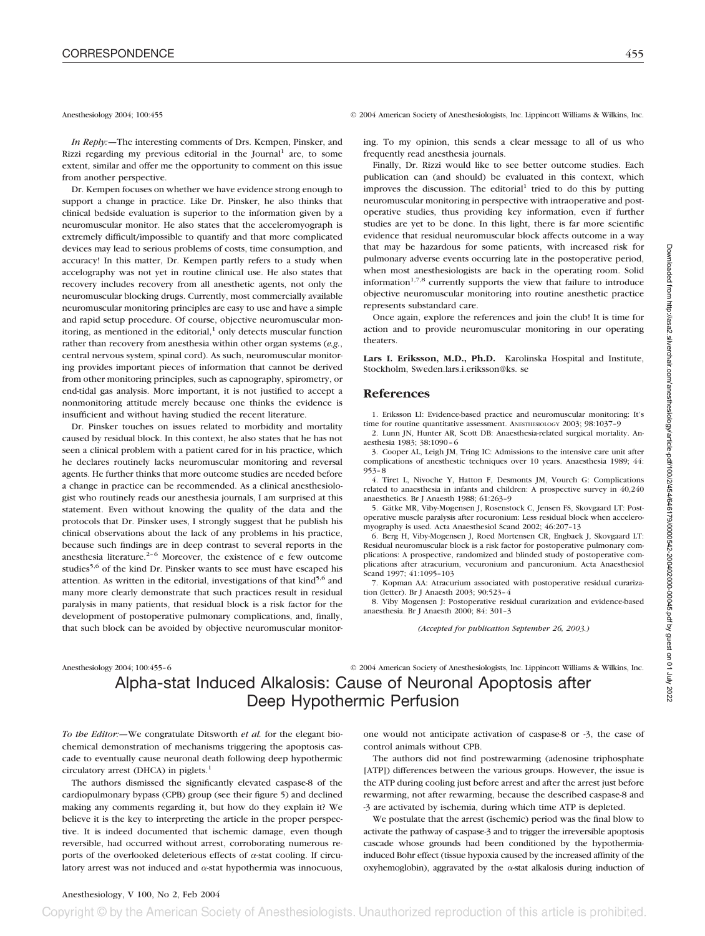*In Reply:—*The interesting comments of Drs. Kempen, Pinsker, and Rizzi regarding my previous editorial in the Journal<sup>1</sup> are, to some extent, similar and offer me the opportunity to comment on this issue from another perspective.

Dr. Kempen focuses on whether we have evidence strong enough to support a change in practice. Like Dr. Pinsker, he also thinks that clinical bedside evaluation is superior to the information given by a neuromuscular monitor. He also states that the acceleromyograph is extremely difficult/impossible to quantify and that more complicated devices may lead to serious problems of costs, time consumption, and accuracy! In this matter, Dr. Kempen partly refers to a study when accelography was not yet in routine clinical use. He also states that recovery includes recovery from all anesthetic agents, not only the neuromuscular blocking drugs. Currently, most commercially available neuromuscular monitoring principles are easy to use and have a simple and rapid setup procedure. Of course, objective neuromuscular monitoring, as mentioned in the editorial, $1$  only detects muscular function rather than recovery from anesthesia within other organ systems (*e.g.*, central nervous system, spinal cord). As such, neuromuscular monitoring provides important pieces of information that cannot be derived from other monitoring principles, such as capnography, spirometry, or end-tidal gas analysis. More important, it is not justified to accept a nonmonitoring attitude merely because one thinks the evidence is insufficient and without having studied the recent literature.

Dr. Pinsker touches on issues related to morbidity and mortality caused by residual block. In this context, he also states that he has not seen a clinical problem with a patient cared for in his practice, which he declares routinely lacks neuromuscular monitoring and reversal agents. He further thinks that more outcome studies are needed before a change in practice can be recommended. As a clinical anesthesiologist who routinely reads our anesthesia journals, I am surprised at this statement. Even without knowing the quality of the data and the protocols that Dr. Pinsker uses, I strongly suggest that he publish his clinical observations about the lack of any problems in his practice, because such findings are in deep contrast to several reports in the anesthesia literature. $2-6$  Moreover, the existence of e few outcome studies<sup>5,6</sup> of the kind Dr. Pinsker wants to see must have escaped his attention. As written in the editorial, investigations of that  $\text{kind}^{5,6}$  and many more clearly demonstrate that such practices result in residual paralysis in many patients, that residual block is a risk factor for the development of postoperative pulmonary complications, and, finally, that such block can be avoided by objective neuromuscular monitor-

Anesthesiology 2004; 100:455  $\degree$  2004 American Society of Anesthesiologists, Inc. Lippincott Williams & Wilkins, Inc.

ing. To my opinion, this sends a clear message to all of us who frequently read anesthesia journals.

Finally, Dr. Rizzi would like to see better outcome studies. Each publication can (and should) be evaluated in this context, which improves the discussion. The editorial<sup>1</sup> tried to do this by putting neuromuscular monitoring in perspective with intraoperative and postoperative studies, thus providing key information, even if further studies are yet to be done. In this light, there is far more scientific evidence that residual neuromuscular block affects outcome in a way that may be hazardous for some patients, with increased risk for pulmonary adverse events occurring late in the postoperative period, when most anesthesiologists are back in the operating room. Solid information $1,7,8$  currently supports the view that failure to introduce objective neuromuscular monitoring into routine anesthetic practice represents substandard care.

Once again, explore the references and join the club! It is time for action and to provide neuromuscular monitoring in our operating theaters.

**Lars I. Eriksson, M.D., Ph.D.** Karolinska Hospital and Institute, Stockholm, Sweden.lars.i.eriksson@ks. se

### **References**

1. Eriksson LI: Evidence-based practice and neuromuscular monitoring: It's time for routine quantitative assessment. ANESTHESIOLOGY 2003; 98:1037-9

2. Lunn JN, Hunter AR, Scott DB: Anaesthesia-related surgical mortality. Anaesthesia 1983; 38:1090–6

3. Cooper AL, Leigh JM, Tring IC: Admissions to the intensive care unit after complications of anesthestic techniques over 10 years. Anaesthesia 1989; 44: 953–8

4. Tiret L, Nivoche Y, Hatton F, Desmonts JM, Vourch G: Complications related to anaesthesia in infants and children: A prospective survey in 40,240 anaesthetics. Br J Anaesth 1988; 61:263–9

5. Gätke MR, Viby-Mogensen J, Rosenstock C, Jensen FS, Skovgaard LT: Postoperative muscle paralysis after rocuronium: Less residual block when acceleromyography is used. Acta Anaesthesiol Scand 2002; 46:207–13

6. Berg H, Viby-Mogensen J, Roed Mortensen CR, Engbaek J, Skovgaard LT: Residual neuromuscular block is a risk factor for postoperative pulmonary complications: A prospective, randomized and blinded study of postoperative complications after atracurium, vecuronium and pancuronium. Acta Anaesthesiol Scand 1997; 41:1095–103

7. Kopman AA: Atracurium associated with postoperative residual curarization (letter). Br J Anaesth 2003; 90:523–4

8. Viby Mogensen J: Postoperative residual curarization and evidence-based anaesthesia. Br J Anaesth 2000; 84: 301–3

*(Accepted for publication September 26, 2003.)*

Anesthesiology 2004; 100:455-6 © 2004 American Society of Anesthesiologists, Inc. Lippincott Williams & Wilkins, Inc.

# Alpha-stat Induced Alkalosis: Cause of Neuronal Apoptosis after Deep Hypothermic Perfusion

*To the Editor:—*We congratulate Ditsworth *et al.* for the elegant biochemical demonstration of mechanisms triggering the apoptosis cascade to eventually cause neuronal death following deep hypothermic circulatory arrest (DHCA) in piglets. $<sup>1</sup>$ </sup>

The authors dismissed the significantly elevated caspase-8 of the cardiopulmonary bypass (CPB) group (see their figure 5) and declined making any comments regarding it, but how do they explain it? We believe it is the key to interpreting the article in the proper perspective. It is indeed documented that ischemic damage, even though reversible, had occurred without arrest, corroborating numerous reports of the overlooked deleterious effects of  $\alpha$ -stat cooling. If circulatory arrest was not induced and  $\alpha$ -stat hypothermia was innocuous,

one would not anticipate activation of caspase-8 or -3, the case of control animals without CPB.

The authors did not find postrewarming (adenosine triphosphate [ATP]) differences between the various groups. However, the issue is the ATP during cooling just before arrest and after the arrest just before rewarming, not after rewarming, because the described caspase-8 and -3 are activated by ischemia, during which time ATP is depleted.

We postulate that the arrest (ischemic) period was the final blow to activate the pathway of caspase-3 and to trigger the irreversible apoptosis cascade whose grounds had been conditioned by the hypothermiainduced Bohr effect (tissue hypoxia caused by the increased affinity of the oxyhemoglobin), aggravated by the  $\alpha$ -stat alkalosis during induction of

Copyright © by the American Society of Anesthesiologists. Unauthorized reproduction of this article is prohibited.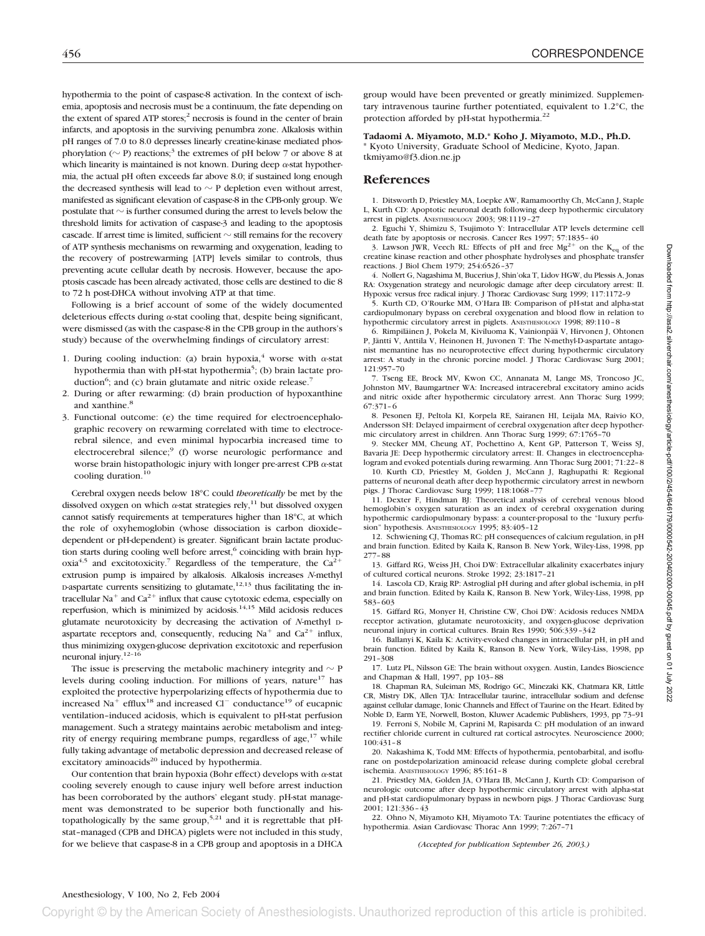hypothermia to the point of caspase-8 activation. In the context of ischemia, apoptosis and necrosis must be a continuum, the fate depending on the extent of spared ATP stores;<sup>2</sup> necrosis is found in the center of brain infarcts, and apoptosis in the surviving penumbra zone. Alkalosis within pH ranges of 7.0 to 8.0 depresses linearly creatine-kinase mediated phosphorylation ( $\sim$  P) reactions;<sup>3</sup> the extremes of pH below 7 or above 8 at which linearity is maintained is not known. During deep  $\alpha$ -stat hypothermia, the actual pH often exceeds far above 8.0; if sustained long enough the decreased synthesis will lead to  $\sim$  P depletion even without arrest, manifested as significant elevation of caspase-8 in the CPB-only group. We postulate that  $\sim$  is further consumed during the arrest to levels below the threshold limits for activation of caspase-3 and leading to the apoptosis cascade. If arrest time is limited, sufficient  $\sim$  still remains for the recovery of ATP synthesis mechanisms on rewarming and oxygenation, leading to the recovery of postrewarming [ATP] levels similar to controls, thus preventing acute cellular death by necrosis. However, because the apoptosis cascade has been already activated, those cells are destined to die 8 to 72 h post-DHCA without involving ATP at that time.

Following is a brief account of some of the widely documented deleterious effects during  $\alpha$ -stat cooling that, despite being significant, were dismissed (as with the caspase-8 in the CPB group in the authors's study) because of the overwhelming findings of circulatory arrest:

- 1. During cooling induction: (a) brain hypoxia,<sup>4</sup> worse with  $\alpha$ -stat hypothermia than with pH-stat hypothermia<sup>5</sup>; (b) brain lactate production<sup>6</sup>; and (c) brain glutamate and nitric oxide release.<sup>7</sup>
- 2. During or after rewarming: (d) brain production of hypoxanthine and xanthine.<sup>8</sup>
- 3. Functional outcome: (e) the time required for electroencephalographic recovery on rewarming correlated with time to electrocerebral silence, and even minimal hypocarbia increased time to electrocerebral silence;<sup>9</sup> (f) worse neurologic performance and worse brain histopathologic injury with longer pre-arrest CPB  $\alpha$ -stat cooling duration.<sup>10</sup>

Cerebral oxygen needs below 18°C could *theoretically* be met by the dissolved oxygen on which  $\alpha$ -stat strategies rely,<sup>11</sup> but dissolved oxygen cannot satisfy requirements at temperatures higher than 18°C, at which the role of oxyhemoglobin (whose dissociation is carbon dioxide– dependent or pH-dependent) is greater. Significant brain lactate production starts during cooling well before arrest, $6$  coinciding with brain hypoxia<sup>4,5</sup> and excitotoxicity.<sup>7</sup> Regardless of the temperature, the  $Ca^{2+}$ extrusion pump is impaired by alkalosis. Alkalosis increases *N*-methyl D-aspartate currents sensitizing to glutamate, $12,13$  thus facilitating the intracellular Na<sup>+</sup> and Ca<sup>2+</sup> influx that cause cytotoxic edema, especially on reperfusion, which is minimized by acidosis.14,15 Mild acidosis reduces glutamate neurotoxicity by decreasing the activation of *N*-methyl Daspartate receptors and, consequently, reducing  $Na<sup>+</sup>$  and  $Ca<sup>2+</sup>$  influx, thus minimizing oxygen-glucose deprivation excitotoxic and reperfusion neuronal injury.12–16

The issue is preserving the metabolic machinery integrity and  $\sim$  P levels during cooling induction. For millions of years, nature $17$  has exploited the protective hyperpolarizing effects of hypothermia due to increased Na<sup>+</sup> efflux<sup>18</sup> and increased Cl<sup>-</sup> conductance<sup>19</sup> of eucapnic ventilation–induced acidosis, which is equivalent to pH-stat perfusion management. Such a strategy maintains aerobic metabolism and integrity of energy requiring membrane pumps, regardless of age, $17$  while fully taking advantage of metabolic depression and decreased release of excitatory aminoacids<sup>20</sup> induced by hypothermia.

Our contention that brain hypoxia (Bohr effect) develops with  $\alpha$ -stat cooling severely enough to cause injury well before arrest induction has been corroborated by the authors' elegant study. pH-stat management was demonstrated to be superior both functionally and histopathologically by the same group,<sup>5,21</sup> and it is regrettable that pHstat–managed (CPB and DHCA) piglets were not included in this study, for we believe that caspase-8 in a CPB group and apoptosis in a DHCA

group would have been prevented or greatly minimized. Supplementary intravenous taurine further potentiated, equivalent to 1.2°C, the protection afforded by pH-stat hypothermia.<sup>22</sup>

## **Tadaomi A. Miyamoto, M.D.\* Koho J. Miyamoto, M.D., Ph.D.**

\* Kyoto University, Graduate School of Medicine, Kyoto, Japan. tkmiyamo@f3.dion.ne.jp

## **References**

1. Ditsworth D, Priestley MA, Loepke AW, Ramamoorthy Ch, McCann J, Staple L, Kurth CD: Apoptotic neuronal death following deep hypothermic circulatory arrest in piglets. ANESTHESIOLOGY 2003; 98:1119–27

2. Eguchi Y, Shimizu S, Tsujimoto Y: Intracellular ATP levels determine cell death fate by apoptosis or necrosis. Cancer Res 1997; 57:1835–40

3. Lawson JWR, Veech RL: Effects of pH and free  $Mg^{2+}$  on the K<sub>eq</sub> of the creatine kinase reaction and other phosphate hydrolyses and phosphate transfer reactions. J Biol Chem 1979; 254:6526–37

4. Nollert G, Nagashima M, Bucerius J, Shin'oka T, Lidov HGW, du Plessis A, Jonas RA: Oxygenation strategy and neurologic damage after deep circulatory arrest: II. Hypoxic versus free radical injury. J Thorac Cardiovasc Surg 1999; 117:1172–9

5. Kurth CD, O'Rourke MM, O'Hara IB: Comparison of pH-stat and alpha-stat cardiopulmonary bypass on cerebral oxygenation and blood flow in relation to hypothermic circulatory arrest in piglets. ANESTHESIOLOGY 1998; 89:110-8

6. Rimpiläinen J, Pokela M, Kiviluoma K, Vainionpää V, Hirvonen J, Ohtonen P, Jäntti V, Anttila V, Heinonen H, Juvonen T: The N-methyl-D-aspartate antagonist memantine has no neuroprotective effect during hypothermic circulatory arrest: A study in the chronic porcine model. J Thorac Cardiovasc Surg 2001; 121:957–70

7. Tseng EE, Brock MV, Kwon CC, Annanata M, Lange MS, Troncoso JC, Johnston MV, Baumgartner WA: Increased intracerebral excitatory amino acids and nitric oxide after hypothermic circulatory arrest. Ann Thorac Surg 1999; 67:371–6

8. Pesonen EJ, Peltola KI, Korpela RE, Sairanen HI, Leijala MA, Raivio KO, Andersson SH: Delayed impairment of cerebral oxygenation after deep hypothermic circulatory arrest in children. Ann Thorac Surg 1999; 67:1765–70

9. Stecker MM, Cheung AT, Pochettino A, Kent GP, Patterson T, Weiss SJ, Bavaria JE: Deep hypothermic circulatory arrest: II. Changes in electroencephalogram and evoked potentials during rewarming. Ann Thorac Surg 2001; 71:22–8

10. Kurth CD, Priestley M, Golden J, McCann J, Raghupathi R: Regional patterns of neuronal death after deep hypothermic circulatory arrest in newborn pigs. J Thorac Cardiovasc Surg 1999; 118:1068–77

11. Dexter F, Hindman BJ: Theoretical analysis of cerebral venous blood hemoglobin's oxygen saturation as an index of cerebral oxygenation during hypothermic cardiopulmonary bypass: a counter-proposal to the "luxury perfusion" hypothesis. ANESTHESIOLOGY 1995; 83:405-12

12. Schwiening CJ, Thomas RC: pH consequences of calcium regulation, in pH and brain function. Edited by Kaila K, Ranson B. New York, Wiley-Liss, 1998, pp 277–88

13. Giffard RG, Weiss JH, Choi DW: Extracellular alkalinity exacerbates injury of cultured cortical neurons. Stroke 1992; 23:1817–21

14. Lascola CD, Kraig RP: Astroglial pH during and after global ischemia, in pH and brain function. Edited by Kaila K, Ranson B. New York, Wiley-Liss, 1998, pp 583–603

15. Giffard RG, Monyer H, Christine CW, Choi DW: Acidosis reduces NMDA receptor activation, glutamate neurotoxicity, and oxygen-glucose deprivation neuronal injury in cortical cultures. Brain Res 1990; 506:339–342

16. Ballanyi K, Kaila K: Activity-evoked changes in intracellular pH, in pH and brain function. Edited by Kaila K, Ranson B. New York, Wiley-Liss, 1998, pp 291–308

17. Lutz PL, Nilsson GE: The brain without oxygen. Austin, Landes Bioscience and Chapman & Hall, 1997, pp 103–88

18. Chapman RA, Suleiman MS, Rodrigo GC, Minezaki KK, Chatmara KR, Little CR, Mistry DK, Allen TJA: Intracellular taurine, intracellular sodium and defense against cellular damage, Ionic Channels and Effect of Taurine on the Heart. Edited by Noble D, Earm YE, Norwell, Boston, Kluwer Academic Publishers, 1993, pp 73–91

19. Ferroni S, Nobile M, Caprini M, Rapisarda C: pH modulation of an inward rectifier chloride current in cultured rat cortical astrocytes. Neuroscience 2000; 100:431–8

20. Nakashima K, Todd MM: Effects of hypothermia, pentobarbital, and isoflurane on postdepolarization aminoacid release during complete global cerebral ischemia. ANESTHESIOLOGY 1996; 85:161–8

21. Priestley MA, Golden JA, O'Hara IB, McCann J, Kurth CD: Comparison of neurologic outcome after deep hypothermic circulatory arrest with alpha-stat and pH-stat cardiopulmonary bypass in newborn pigs. J Thorac Cardiovasc Surg 2001; 121:336–43

22. Ohno N, Miyamoto KH, Miyamoto TA: Taurine potentiates the efficacy of hypothermia. Asian Cardiovasc Thorac Ann 1999; 7:267–71

*(Accepted for publication September 26, 2003.)*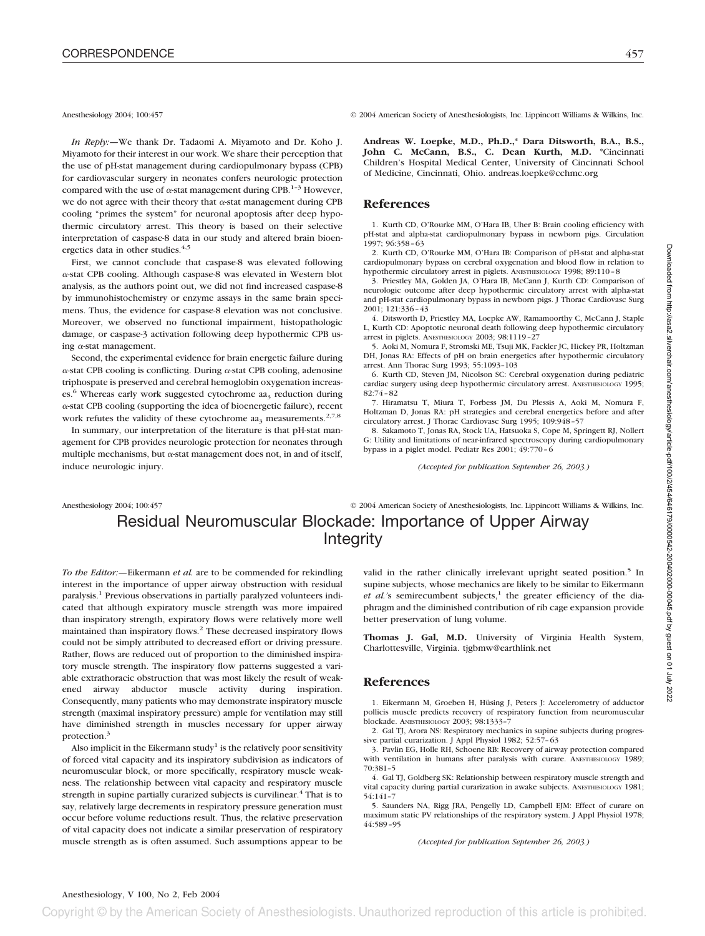*In Reply:—*We thank Dr. Tadaomi A. Miyamoto and Dr. Koho J. Miyamoto for their interest in our work. We share their perception that the use of pH-stat management during cardiopulmonary bypass (CPB) for cardiovascular surgery in neonates confers neurologic protection compared with the use of  $\alpha$ -stat management during CPB.<sup>1–3</sup> However, we do not agree with their theory that  $\alpha$ -stat management during CPB cooling "primes the system" for neuronal apoptosis after deep hypothermic circulatory arrest. This theory is based on their selective interpretation of caspase-8 data in our study and altered brain bioenergetics data in other studies.<sup>4,5</sup>

First, we cannot conclude that caspase-8 was elevated following -stat CPB cooling. Although caspase-8 was elevated in Western blot analysis, as the authors point out, we did not find increased caspase-8 by immunohistochemistry or enzyme assays in the same brain specimens. Thus, the evidence for caspase-8 elevation was not conclusive. Moreover, we observed no functional impairment, histopathologic damage, or caspase-3 activation following deep hypothermic CPB using  $\alpha$ -stat management.

Second, the experimental evidence for brain energetic failure during  $\alpha$ -stat CPB cooling is conflicting. During  $\alpha$ -stat CPB cooling, adenosine triphospate is preserved and cerebral hemoglobin oxygenation increases.<sup>6</sup> Whereas early work suggested cytochrome  $aa_3$  reduction during -stat CPB cooling (supporting the idea of bioenergetic failure), recent work refutes the validity of these cytochrome  $aa_3$  measurements.<sup>2,7,8</sup>

In summary, our interpretation of the literature is that pH-stat management for CPB provides neurologic protection for neonates through multiple mechanisms, but  $\alpha$ -stat management does not, in and of itself, induce neurologic injury.

Anesthesiology 2004; 100:457 © 2004 American Society of Anesthesiologists, Inc. Lippincott Williams & Wilkins, Inc.

**Andreas W. Loepke, M.D., Ph.D.,\* Dara Ditsworth, B.A., B.S., John C. McCann, B.S., C. Dean Kurth, M.D.** \*Cincinnati Children's Hospital Medical Center, University of Cincinnati School of Medicine, Cincinnati, Ohio. andreas.loepke@cchmc.org

### **References**

1. Kurth CD, O'Rourke MM, O'Hara IB, Uher B: Brain cooling efficiency with pH-stat and alpha-stat cardiopulmonary bypass in newborn pigs. Circulation 1997; 96:358–63

2. Kurth CD, O'Rourke MM, O'Hara IB: Comparison of pH-stat and alpha-stat cardiopulmonary bypass on cerebral oxygenation and blood flow in relation to hypothermic circulatory arrest in piglets. ANESTHESIOLOGY 1998; 89:110-8

3. Priestley MA, Golden JA, O'Hara IB, McCann J, Kurth CD: Comparison of neurologic outcome after deep hypothermic circulatory arrest with alpha-stat and pH-stat cardiopulmonary bypass in newborn pigs. J Thorac Cardiovasc Surg 2001; 121:336–43

4. Ditsworth D, Priestley MA, Loepke AW, Ramamoorthy C, McCann J, Staple L, Kurth CD: Apoptotic neuronal death following deep hypothermic circulatory arrest in piglets. ANESTHESIOLOGY 2003; 98:1119–27

5. Aoki M, Nomura F, Stromski ME, Tsuji MK, Fackler JC, Hickey PR, Holtzman DH, Jonas RA: Effects of pH on brain energetics after hypothermic circulatory arrest. Ann Thorac Surg 1993; 55:1093–103

6. Kurth CD, Steven JM, Nicolson SC: Cerebral oxygenation during pediatric cardiac surgery using deep hypothermic circulatory arrest. ANESTHESIOLOGY 1995; 82:74–82

7. Hiramatsu T, Miura T, Forbess JM, Du Plessis A, Aoki M, Nomura F, Holtzman D, Jonas RA: pH strategies and cerebral energetics before and after circulatory arrest. J Thorac Cardiovasc Surg 1995; 109:948–57

8. Sakamoto T, Jonas RA, Stock UA, Hatsuoka S, Cope M, Springett RJ, Nollert G: Utility and limitations of near-infrared spectroscopy during cardiopulmonary bypass in a piglet model. Pediatr Res 2001; 49:770–6

*(Accepted for publication September 26, 2003.)*

Anesthesiology 2004; 100:457 © 2004 American Society of Anesthesiologists, Inc. Lippincott Williams & Wilkins, Inc. Residual Neuromuscular Blockade: Importance of Upper Airway **Integrity** 

*To the Editor:—*Eikermann *et al.* are to be commended for rekindling interest in the importance of upper airway obstruction with residual paralysis.1 Previous observations in partially paralyzed volunteers indicated that although expiratory muscle strength was more impaired than inspiratory strength, expiratory flows were relatively more well maintained than inspiratory flows.<sup>2</sup> These decreased inspiratory flows could not be simply attributed to decreased effort or driving pressure. Rather, flows are reduced out of proportion to the diminished inspiratory muscle strength. The inspiratory flow patterns suggested a variable extrathoracic obstruction that was most likely the result of weakened airway abductor muscle activity during inspiration. Consequently, many patients who may demonstrate inspiratory muscle strength (maximal inspiratory pressure) ample for ventilation may still have diminished strength in muscles necessary for upper airway protection.3

Also implicit in the Eikermann study<sup>1</sup> is the relatively poor sensitivity of forced vital capacity and its inspiratory subdivision as indicators of neuromuscular block, or more specifically, respiratory muscle weakness. The relationship between vital capacity and respiratory muscle strength in supine partially curarized subjects is curvilinear.<sup>4</sup> That is to say, relatively large decrements in respiratory pressure generation must occur before volume reductions result. Thus, the relative preservation of vital capacity does not indicate a similar preservation of respiratory muscle strength as is often assumed. Such assumptions appear to be

valid in the rather clinically irrelevant upright seated position.<sup>5</sup> In supine subjects, whose mechanics are likely to be similar to Eikermann *et al.*'s semirecumbent subjects, $\frac{1}{1}$  the greater efficiency of the diaphragm and the diminished contribution of rib cage expansion provide better preservation of lung volume.

**Thomas J. Gal, M.D.** University of Virginia Health System, Charlottesville, Virginia. tjgbmw@earthlink.net

## **References**

1. Eikermann M, Groeben H, Hüsing J, Peters J: Accelerometry of adductor pollicis muscle predicts recovery of respiratory function from neuromuscular blockade. ANESTHESIOLOGY 2003; 98:1333–7

2. Gal TJ, Arora NS: Respiratory mechanics in supine subjects during progressive partial curarization. J Appl Physiol 1982; 52:57-63

3. Pavlin EG, Holle RH, Schoene RB: Recovery of airway protection compared with ventilation in humans after paralysis with curare. ANESTHESIOLOGY 1989; 70:381–5

4. Gal TJ, Goldberg SK: Relationship between respiratory muscle strength and vital capacity during partial curarization in awake subjects. ANESTHESIOLOGY 1981; 54:141–7

5. Saunders NA, Rigg JRA, Pengelly LD, Campbell EJM: Effect of curare on maximum static PV relationships of the respiratory system. J Appl Physiol 1978; 44:589–95

*(Accepted for publication September 26, 2003.)*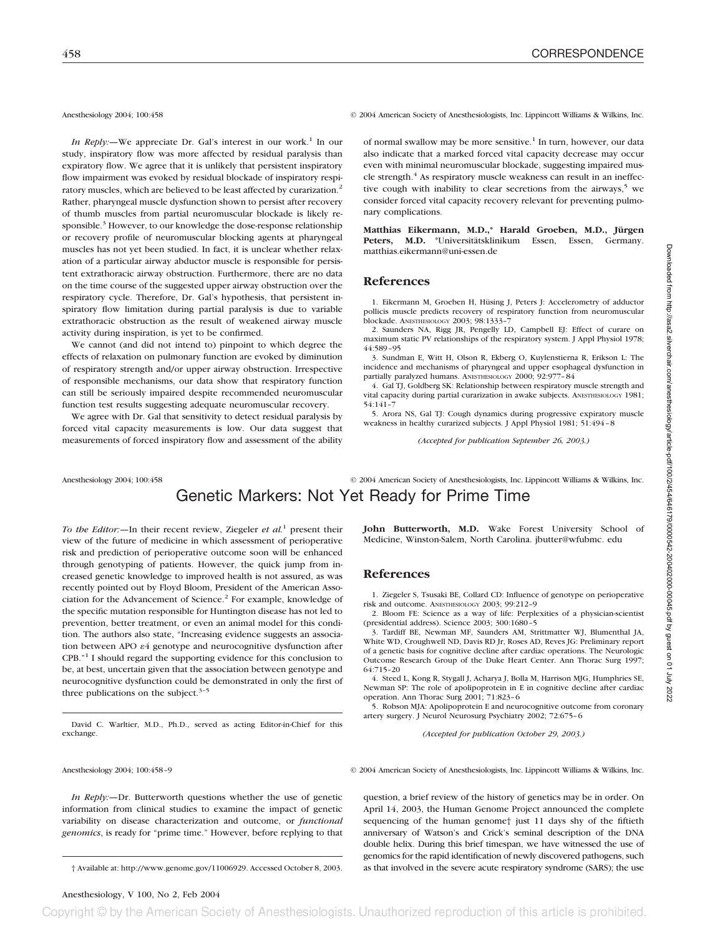*In Reply:*—We appreciate Dr. Gal's interest in our work.<sup>1</sup> In our study, inspiratory flow was more affected by residual paralysis than expiratory flow. We agree that it is unlikely that persistent inspiratory flow impairment was evoked by residual blockade of inspiratory respiratory muscles, which are believed to be least affected by curarization.<sup>2</sup> Rather, pharyngeal muscle dysfunction shown to persist after recovery of thumb muscles from partial neuromuscular blockade is likely responsible.<sup>3</sup> However, to our knowledge the dose-response relationship or recovery profile of neuromuscular blocking agents at pharyngeal muscles has not yet been studied. In fact, it is unclear whether relaxation of a particular airway abductor muscle is responsible for persistent extrathoracic airway obstruction. Furthermore, there are no data on the time course of the suggested upper airway obstruction over the respiratory cycle. Therefore, Dr. Gal's hypothesis, that persistent inspiratory flow limitation during partial paralysis is due to variable extrathoracic obstruction as the result of weakened airway muscle activity during inspiration, is yet to be confirmed.

We cannot (and did not intend to) pinpoint to which degree the effects of relaxation on pulmonary function are evoked by diminution of respiratory strength and/or upper airway obstruction. Irrespective of responsible mechanisms, our data show that respiratory function can still be seriously impaired despite recommended neuromuscular function test results suggesting adequate neuromuscular recovery.

We agree with Dr. Gal that sensitivity to detect residual paralysis by forced vital capacity measurements is low. Our data suggest that measurements of forced inspiratory flow and assessment of the ability

Anesthesiology 2004; 100:458 **Canadiates**  $\degree$  2004 American Society of Anesthesiologists, Inc. Lippincott Williams & Wilkins, Inc.

of normal swallow may be more sensitive.<sup>1</sup> In turn, however, our data also indicate that a marked forced vital capacity decrease may occur even with minimal neuromuscular blockade, suggesting impaired muscle strength.<sup>4</sup> As respiratory muscle weakness can result in an ineffective cough with inability to clear secretions from the airways, $5$  we consider forced vital capacity recovery relevant for preventing pulmonary complications.

**Matthias Eikermann, M.D.,\* Harald Groeben, M.D., Jürgen** Peters, M.D. \*Universitätsklinikum Essen, Essen, Germany. matthias.eikermann@uni-essen.de

### **References**

1. Eikermann M, Groeben H, Hüsing J, Peters J: Accelerometry of adductor pollicis muscle predicts recovery of respiratory function from neuromuscular blockade. ANESTHESIOLOGY 2003; 98:1333–7

2. Saunders NA, Rigg JR, Pengelly LD, Campbell EJ: Effect of curare on maximum static PV relationships of the respiratory system. J Appl Physiol 1978; 44:589–95

3. Sundman E, Witt H, Olson R, Ekberg O, Kuylenstierna R, Erikson L: The incidence and mechanisms of pharyngeal and upper esophageal dysfunction in partially paralyzed humans. ANESTHESIOLOGY 2000; 92:977–84

4. Gal TJ, Goldberg SK: Relationship between respiratory muscle strength and vital capacity during partial curarization in awake subjects. ANESTHESIOLOGY 1981; 54:141–7

5. Arora NS, Gal TJ: Cough dynamics during progressive expiratory muscle weakness in healthy curarized subjects. J Appl Physiol 1981; 51:494–8

*(Accepted for publication September 26, 2003.)*

## Anesthesiology 2004; 100:458 © 2004 American Society of Anesthesiologists, Inc. Lippincott Williams & Wilkins, Inc. Genetic Markers: Not Yet Ready for Prime Time

*To the Editor:—*In their recent review, Ziegeler *et al.*<sup>1</sup> present their view of the future of medicine in which assessment of perioperative risk and prediction of perioperative outcome soon will be enhanced through genotyping of patients. However, the quick jump from increased genetic knowledge to improved health is not assured, as was recently pointed out by Floyd Bloom, President of the American Association for the Advancement of Science. $<sup>2</sup>$  For example, knowledge of</sup> the specific mutation responsible for Huntington disease has not led to prevention, better treatment, or even an animal model for this condition. The authors also state, "Increasing evidence suggests an association between APO  $\varepsilon$ 4 genotype and neurocognitive dysfunction after CPB."1 I should regard the supporting evidence for this conclusion to be, at best, uncertain given that the association between genotype and neurocognitive dysfunction could be demonstrated in only the first of three publications on the subject. $3-5$ 

David C. Warltier, M.D., Ph.D., served as acting Editor-in-Chief for this exchange.

*In Reply:—*Dr. Butterworth questions whether the use of genetic information from clinical studies to examine the impact of genetic variability on disease characterization and outcome, or *functional genomics*, is ready for "prime time." However, before replying to that

† Available at: http://www.genome.gov/11006929. Accessed October 8, 2003.

Downloaded from http://asa2.silverchair.com/anesthesiology/article-pdf/100/2/454/646179/0000542-200402000-00045.pdf by guest on 01 July 2022 Downloaded from http://asa2.silverchair.com/anesthesiology/article-pdf/100/2/454/646179/0000542-200402000-00045.pdf by guest on 01 July 2022

**John Butterworth, M.D.** Wake Forest University School of Medicine, Winston-Salem, North Carolina. jbutter@wfubmc. edu

## **References**

1. Ziegeler S, Tsusaki BE, Collard CD: Influence of genotype on perioperative risk and outcome. ANESTHESIOLOGY 2003; 99:212–9

2. Bloom FE: Science as a way of life: Perplexities of a physician-scientist (presidential address). Science 2003; 300:1680–5

3. Tardiff BE, Newman MF, Saunders AM, Strittmatter WJ, Blumenthal JA, White WD, Croughwell ND, Davis RD Jr, Roses AD, Reves JG: Preliminary report of a genetic basis for cognitive decline after cardiac operations. The Neurologic Outcome Research Group of the Duke Heart Center. Ann Thorac Surg 1997; 64:715–20

4. Steed L, Kong R, Stygall J, Acharya J, Bolla M, Harrison MJG, Humphries SE, Newman SP: The role of apolipoprotein in E in cognitive decline after cardiac operation. Ann Thorac Surg 2001; 71:823–6

5. Robson MJA: Apolipoprotein E and neurocognitive outcome from coronary artery surgery. J Neurol Neurosurg Psychiatry 2002; 72:675–6

*(Accepted for publication October 29, 2003.)*

Anesthesiology 2004; 100:458-9 © 2004 American Society of Anesthesiologists, Inc. Lippincott Williams & Wilkins, Inc.

question, a brief review of the history of genetics may be in order. On April 14, 2003, the Human Genome Project announced the complete sequencing of the human genome† just 11 days shy of the fiftieth anniversary of Watson's and Crick's seminal description of the DNA double helix. During this brief timespan, we have witnessed the use of genomics for the rapid identification of newly discovered pathogens, such as that involved in the severe acute respiratory syndrome (SARS); the use

Copyright © by the American Society of Anesthesiologists. Unauthorized reproduction of this article is prohibited.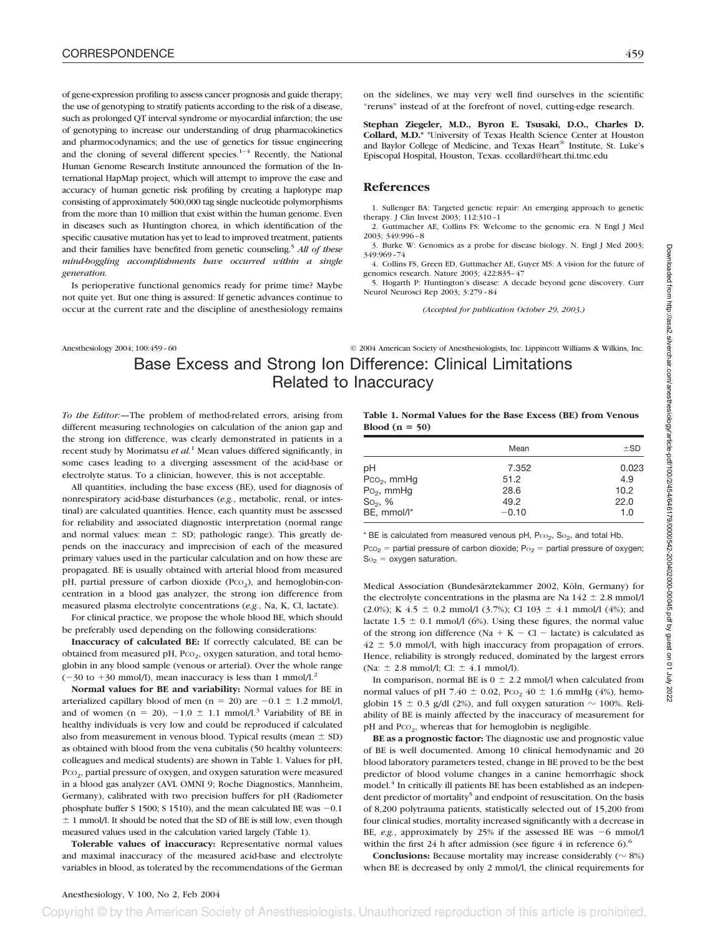of gene-expression profiling to assess cancer prognosis and guide therapy; the use of genotyping to stratify patients according to the risk of a disease, such as prolonged QT interval syndrome or myocardial infarction; the use of genotyping to increase our understanding of drug pharmacokinetics and pharmocodynamics; and the use of genetics for tissue engineering and the cloning of several different species. $1-4$  Recently, the National Human Genome Research Institute announced the formation of the International HapMap project, which will attempt to improve the ease and accuracy of human genetic risk profiling by creating a haplotype map consisting of approximately 500,000 tag single nucleotide polymorphisms from the more than 10 million that exist within the human genome. Even in diseases such as Huntington chorea, in which identification of the specific causative mutation has yet to lead to improved treatment, patients and their families have benefited from genetic counseling.5 *All of these mind-boggling accomplishments have occurred within a single generation.*

Is perioperative functional genomics ready for prime time? Maybe not quite yet. But one thing is assured: If genetic advances continue to occur at the current rate and the discipline of anesthesiology remains on the sidelines, we may very well find ourselves in the scientific "reruns" instead of at the forefront of novel, cutting-edge research.

**Stephan Ziegeler, M.D., Byron E. Tsusaki, D.O., Charles D. Collard, M.D.\*** \*University of Texas Health Science Center at Houston and Baylor College of Medicine, and Texas Heart® Institute, St. Luke's Episcopal Hospital, Houston, Texas. ccollard@heart.thi.tmc.edu

## **References**

1. Sullenger BA: Targeted genetic repair: An emerging approach to genetic therapy. J Clin Invest 2003; 112:310–1

2. Guttmacher AE, Collins FS: Welcome to the genomic era. N Engl J Med 2003; 349:996–8

3. Burke W: Genomics as a probe for disease biology. N. Engl J Med 2003; 349:969–74

4. Collins FS, Green ED, Guttmacher AE, Guyer MS: A vision for the future of genomics research. Nature 2003; 422:835–47

5. Hogarth P: Huntington's disease: A decade beyond gene discovery. Curr Neurol Neurosci Rep 2003; 3:279–84

*(Accepted for publication October 29, 2003.)*

## Anesthesiology 2004; 100:459–60 © 2004 American Society of Anesthesiologists, Inc. Lippincott Williams & Wilkins, Inc. Base Excess and Strong Ion Difference: Clinical Limitations Related to Inaccuracy

*To the Editor:—*The problem of method-related errors, arising from different measuring technologies on calculation of the anion gap and the strong ion difference, was clearly demonstrated in patients in a recent study by Morimatsu *et al.*<sup>1</sup> Mean values differed significantly, in some cases leading to a diverging assessment of the acid-base or electrolyte status. To a clinician, however, this is not acceptable.

All quantities, including the base excess (BE), used for diagnosis of nonrespiratory acid-base disturbances (*e.g.*, metabolic, renal, or intestinal) are calculated quantities. Hence, each quantity must be assessed for reliability and associated diagnostic interpretation (normal range and normal values: mean  $\pm$  SD; pathologic range). This greatly depends on the inaccuracy and imprecision of each of the measured primary values used in the particular calculation and on how these are propagated. BE is usually obtained with arterial blood from measured pH, partial pressure of carbon dioxide  $(PCO<sub>2</sub>)$ , and hemoglobin-concentration in a blood gas analyzer, the strong ion difference from measured plasma electrolyte concentrations (*e.g.*, Na, K, Cl, lactate).

For clinical practice, we propose the whole blood BE, which should be preferably used depending on the following considerations:

**Inaccuracy of calculated BE:** If correctly calculated, BE can be obtained from measured pH,  $PCO<sub>2</sub>$ , oxygen saturation, and total hemoglobin in any blood sample (venous or arterial). Over the whole range  $(-30 \text{ to } +30 \text{ mmol/l})$ , mean inaccuracy is less than 1 mmol/l.<sup>2</sup>

**Normal values for BE and variability:** Normal values for BE in arterialized capillary blood of men  $(n = 20)$  are  $-0.1 \pm 1.2$  mmol/l, and of women (n = 20),  $-1.0 \pm 1.1$  mmol/l.<sup>3</sup> Variability of BE in healthy individuals is very low and could be reproduced if calculated also from measurement in venous blood. Typical results (mean  $\pm$  SD) as obtained with blood from the vena cubitalis (50 healthy volunteers: colleagues and medical students) are shown in Table 1. Values for pH, PCO2, partial pressure of oxygen, and oxygen saturation were measured in a blood gas analyzer (AVL OMNI 9; Roche Diagnostics, Mannheim, Germany), calibrated with two precision buffers for pH (Radiometer phosphate buffer S 1500; S 1510), and the mean calculated BE was  $-0.1$  $\pm$  1 mmol/l. It should be noted that the SD of BE is still low, even though measured values used in the calculation varied largely (Table 1).

**Tolerable values of inaccuracy:** Representative normal values and maximal inaccuracy of the measured acid-base and electrolyte variables in blood, as tolerated by the recommendations of the German **Table 1. Normal Values for the Base Excess (BE) from Venous**  $Blood (n = 50)$ 

|               | Mean    | $\pm$ SD |
|---------------|---------|----------|
| рH            | 7.352   | 0.023    |
| $PCO2$ , mmHg | 51.2    | 4.9      |
| $Po_2$ , mmHg | 28.6    | 10.2     |
| $So_2, %$     | 49.2    | 22.0     |
| BE, mmol/l*   | $-0.10$ | 1.0      |

 $*$  BE is calculated from measured venous pH,  $PCO<sub>2</sub>$ ,  $SO<sub>2</sub>$ , and total Hb.

 $Pco<sub>2</sub>$  = partial pressure of carbon dioxide;  $Po<sub>2</sub>$  = partial pressure of oxygen;  $So<sub>2</sub> = oxygen saturation.$ 

Medical Association (Bundesärztekammer 2002, Köln, Germany) for the electrolyte concentrations in the plasma are Na  $142 \pm 2.8$  mmol/l (2.0%); K 4.5  $\pm$  0.2 mmol/l (3.7%); Cl 103  $\pm$  4.1 mmol/l (4%); and lactate 1.5  $\pm$  0.1 mmol/l (6%). Using these figures, the normal value of the strong ion difference (Na + K – Cl – lactate) is calculated as  $42 \pm 5.0$  mmol/l, with high inaccuracy from propagation of errors. Hence, reliability is strongly reduced, dominated by the largest errors (Na:  $\pm$  2.8 mmol/l; Cl:  $\pm$  4.1 mmol/l).

In comparison, normal BE is  $0 \pm 2.2$  mmol/l when calculated from normal values of pH 7.40  $\pm$  0.02, Pco<sub>2</sub> 40  $\pm$  1.6 mmHg (4%), hemoglobin 15  $\pm$  0.3 g/dl (2%), and full oxygen saturation  $\sim$  100%. Reliability of BE is mainly affected by the inaccuracy of measurement for pH and Pco<sub>2</sub>, whereas that for hemoglobin is negligible.

**BE as a prognostic factor:** The diagnostic use and prognostic value of BE is well documented. Among 10 clinical hemodynamic and 20 blood laboratory parameters tested, change in BE proved to be the best predictor of blood volume changes in a canine hemorrhagic shock model.<sup>4</sup> In critically ill patients BE has been established as an independent predictor of mortality<sup>5</sup> and endpoint of resuscitation. On the basis of 8,200 polytrauma patients, statistically selected out of 15,200 from four clinical studies, mortality increased significantly with a decrease in BE,  $e.g.,$  approximately by 25% if the assessed BE was  $-6$  mmol/l within the first 24 h after admission (see figure 4 in reference  $6$ ).<sup>6</sup>

**Conclusions:** Because mortality may increase considerably  $(\sim 8\%)$ when BE is decreased by only 2 mmol/l, the clinical requirements for

## Anesthesiology, V 100, No 2, Feb 2004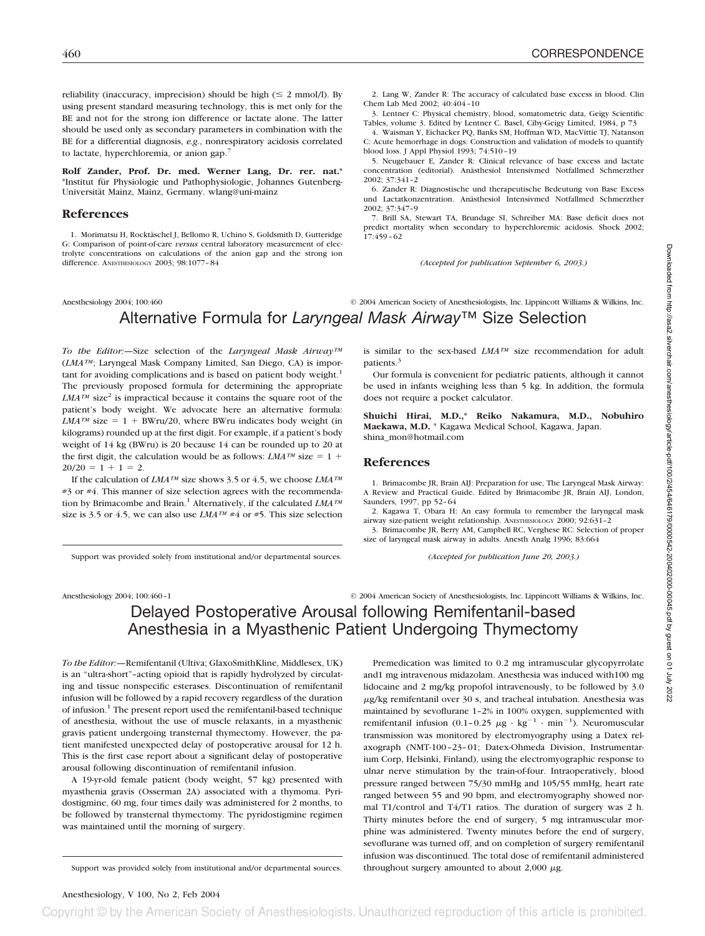reliability (inaccuracy, imprecision) should be high  $(\leq 2 \text{ mmol/l})$ . By using present standard measuring technology, this is met only for the BE and not for the strong ion difference or lactate alone. The latter should be used only as secondary parameters in combination with the BE for a differential diagnosis, *e.g.*, nonrespiratory acidosis correlated to lactate, hyperchloremia, or anion gap.7

**Rolf Zander, Prof. Dr. med. Werner Lang, Dr. rer. nat.\*** \*Institut für Physiologie und Pathophysiologie, Johannes Gutenberg-Universität Mainz, Mainz, Germany. wlang@uni-mainz

## **References**

1. Morimatsu H, Rocktäschel J, Bellomo R, Uchino S, Goldsmith D, Gutteridge G: Comparison of point-of-care *versus* central laboratory measurement of electrolyte concentrations on calculations of the anion gap and the strong ion difference. ANESTHESIOLOGY 2003; 98:1077–84

2. Lang W, Zander R: The accuracy of calculated base excess in blood. Clin Chem Lab Med 2002; 40:404–10

3. Lentner C: Physical chemistry, blood, somatometric data, Geigy Scientific Tables, volume 3. Edited by Lentner C. Basel, Ciby-Geigy Limited, 1984, p 73

4. Waisman Y, Eichacker PQ, Banks SM, Hoffman WD, MacVittie TJ, Natanson C: Acute hemorrhage in dogs: Construction and validation of models to quantify blood loss. J Appl Physiol 1993; 74:510–19

5. Neugebauer E, Zander R: Clinical relevance of base excess and lactate concentration (editorial). Anästhesiol Intensivmed Notfallmed Schmerzther 2002; 37:341–2

6. Zander R: Diagnostische und therapeutische Bedeutung von Base Excess und Lactatkonzentration. Anästhesiol Intensivmed Notfallmed Schmerzther 2002; 37:347–9

7. Brill SA, Stewart TA, Brundage SI, Schreiber MA: Base deficit does not predict mortality when secondary to hyperchloremic acidosis. Shock 2002; 17:459–62

*(Accepted for publication September 6, 2003.)*

Anesthesiology 2004; 100:460 © 2004 American Society of Anesthesiologists, Inc. Lippincott Williams & Wilkins, Inc.

is similar to the sex-based *LMA™* size recommendation for adult

Our formula is convenient for pediatric patients, although it cannot be used in infants weighing less than 5 kg. In addition, the formula

**Shuichi Hirai, M.D.,\* Reiko Nakamura, M.D., Nobuhiro Maekawa, M.D.** \* Kagawa Medical School, Kagawa, Japan.

1. Brimacombe JR, Brain AIJ: Preparation for use, The Laryngeal Mask Airway: A Review and Practical Guide. Edited by Brimacombe JR, Brain AIJ, London,

2. Kagawa T, Obara H: An easy formula to remember the laryngeal mask airway size-patient weight relationship. ANESTHESIOLOGY 2000; 92:631–2 3. Brimacombe JR, Berry AM, Campbell RC, Verghese RC: Selection of proper

*(Accepted for publication June 20, 2003.)*

# Alternative Formula for *Laryngeal Mask Airway™* Size Selection

patients.<sup>3</sup>

does not require a pocket calculator.

shina\_mon@hotmail.com

Saunders, 1997, pp 52–64

**References**

*To the Editor:—*Size selection of the *Laryngeal Mask Airway™* (*LMA™*; Laryngeal Mask Company Limited, San Diego, CA) is important for avoiding complications and is based on patient body weight.<sup>1</sup> The previously proposed formula for determining the appropriate *LMA™* size<sup>2</sup> is impractical because it contains the square root of the patient's body weight. We advocate here an alternative formula: *LMA<sup>TM</sup>* size =  $1 + BWru/20$ , where BWru indicates body weight (in kilograms) rounded up at the first digit. For example, if a patient's body weight of 14 kg (BWru) is 20 because 14 can be rounded up to 20 at the first digit, the calculation would be as follows: *LMA<sup>TM</sup>* size = 1 +  $20/20 = 1 + 1 = 2$ .

If the calculation of *LMA™* size shows 3.5 or 4.5, we choose *LMA™* #3 or #4. This manner of size selection agrees with the recommendation by Brimacombe and Brain.<sup>1</sup> Alternatively, if the calculated *LMA™* size is 3.5 or 4.5, we can also use *LMA™* #4 or #5. This size selection

Support was provided solely from institutional and/or departmental sources.

Anesthesiology 2004; 100:460-1 © 2004 American Society of Anesthesiologists, Inc. Lippincott Williams & Wilkins, Inc.

size of laryngeal mask airway in adults. Anesth Analg 1996; 83:664

# Delayed Postoperative Arousal following Remifentanil-based Anesthesia in a Myasthenic Patient Undergoing Thymectomy

*To the Editor:—*Remifentanil (Ultiva; GlaxoSmithKline, Middlesex, UK) is an "ultra-short"–acting opioid that is rapidly hydrolyzed by circulating and tissue nonspecific esterases. Discontinuation of remifentanil infusion will be followed by a rapid recovery regardless of the duration of infusion.1 The present report used the remifentanil-based technique of anesthesia, without the use of muscle relaxants, in a myasthenic gravis patient undergoing transternal thymectomy. However, the patient manifested unexpected delay of postoperative arousal for 12 h. This is the first case report about a significant delay of postoperative arousal following discontinuation of remifentanil infusion.

A 19-yr-old female patient (body weight, 57 kg) presented with myasthenia gravis (Osserman 2A) associated with a thymoma. Pyridostigmine, 60 mg, four times daily was administered for 2 months, to be followed by transternal thymectomy. The pyridostigmine regimen was maintained until the morning of surgery.

Support was provided solely from institutional and/or departmental sources.

Premedication was limited to 0.2 mg intramuscular glycopyrrolate and1 mg intravenous midazolam. Anesthesia was induced with100 mg lidocaine and 2 mg/kg propofol intravenously, to be followed by 3.0  $\mu$ g/kg remifentanil over 30 s, and tracheal intubation. Anesthesia was maintained by sevoflurane 1–2% in 100% oxygen, supplemented with remifentanil infusion (0.1-0.25  $\mu$ g · kg<sup>-1</sup> · min<sup>-1</sup>). Neuromuscular transmission was monitored by electromyography using a Datex relaxograph (NMT-100–23–01; Datex-Ohmeda Division, Instrumentarium Corp, Helsinki, Finland), using the electromyographic response to ulnar nerve stimulation by the train-of-four. Intraoperatively, blood pressure ranged between 75/30 mmHg and 105/55 mmHg, heart rate ranged between 55 and 90 bpm, and electromyography showed normal T1/control and T4/T1 ratios. The duration of surgery was 2 h. Thirty minutes before the end of surgery, 5 mg intramuscular morphine was administered. Twenty minutes before the end of surgery, sevoflurane was turned off, and on completion of surgery remifentanil infusion was discontinued. The total dose of remifentanil administered throughout surgery amounted to about  $2,000 \mu$ g.